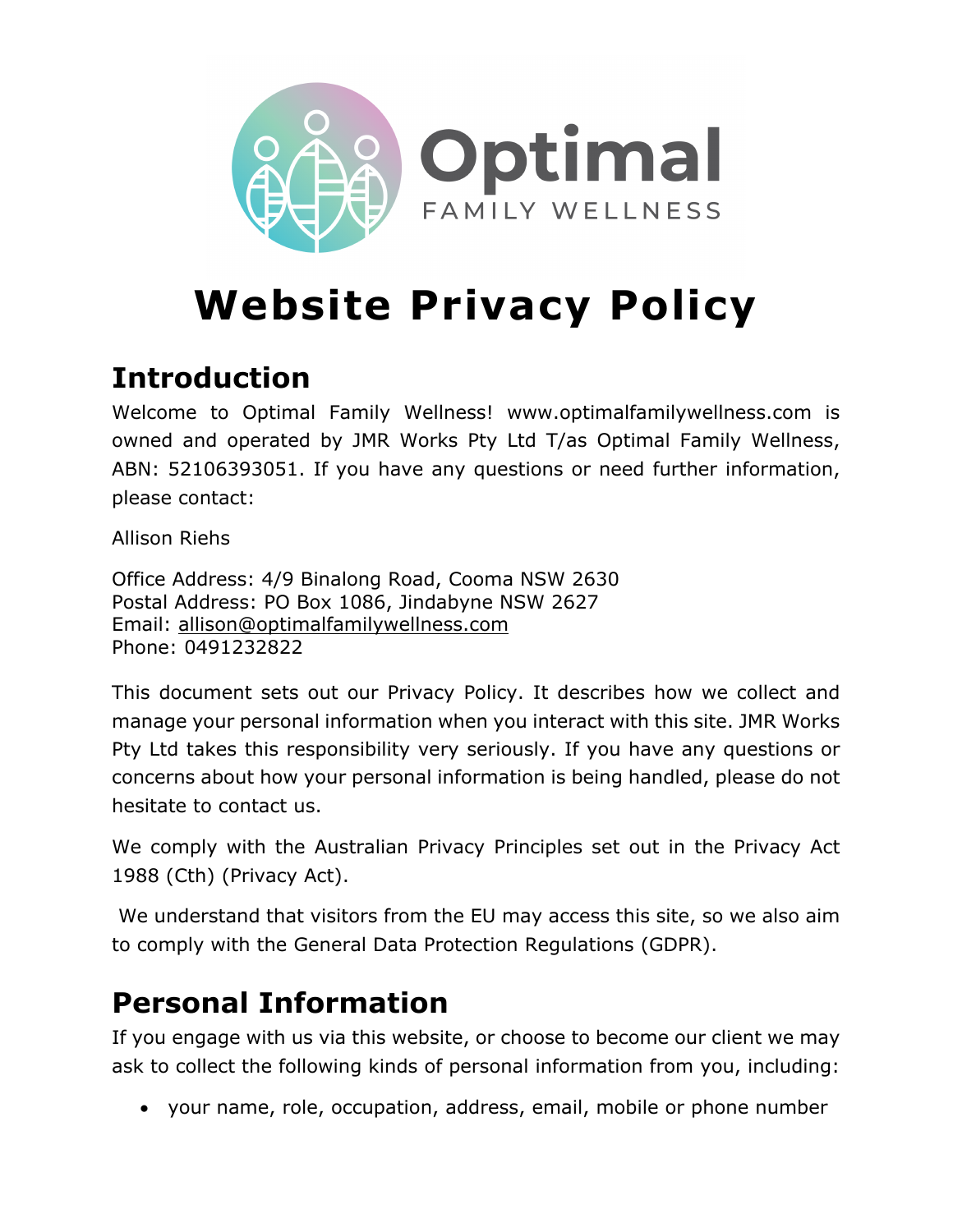

# **Website Privacy Policy**

# **Introduction**

Welcome to Optimal Family Wellness! www.optimalfamilywellness.com is owned and operated by JMR Works Pty Ltd T/as Optimal Family Wellness, ABN: 52106393051. If you have any questions or need further information, please contact:

Allison Riehs

Office Address: 4/9 Binalong Road, Cooma NSW 2630 Postal Address: PO Box 1086, Jindabyne NSW 2627 Email: allison@optimalfamilywellness.com Phone: 0491232822

This document sets out our Privacy Policy. It describes how we collect and manage your personal information when you interact with this site. JMR Works Pty Ltd takes this responsibility very seriously. If you have any questions or concerns about how your personal information is being handled, please do not hesitate to contact us.

We comply with the Australian Privacy Principles set out in the Privacy Act 1988 (Cth) (Privacy Act).

We understand that visitors from the EU may access this site, so we also aim to comply with the General Data Protection Regulations (GDPR).

## **Personal Information**

If you engage with us via this website, or choose to become our client we may ask to collect the following kinds of personal information from you, including:

• your name, role, occupation, address, email, mobile or phone number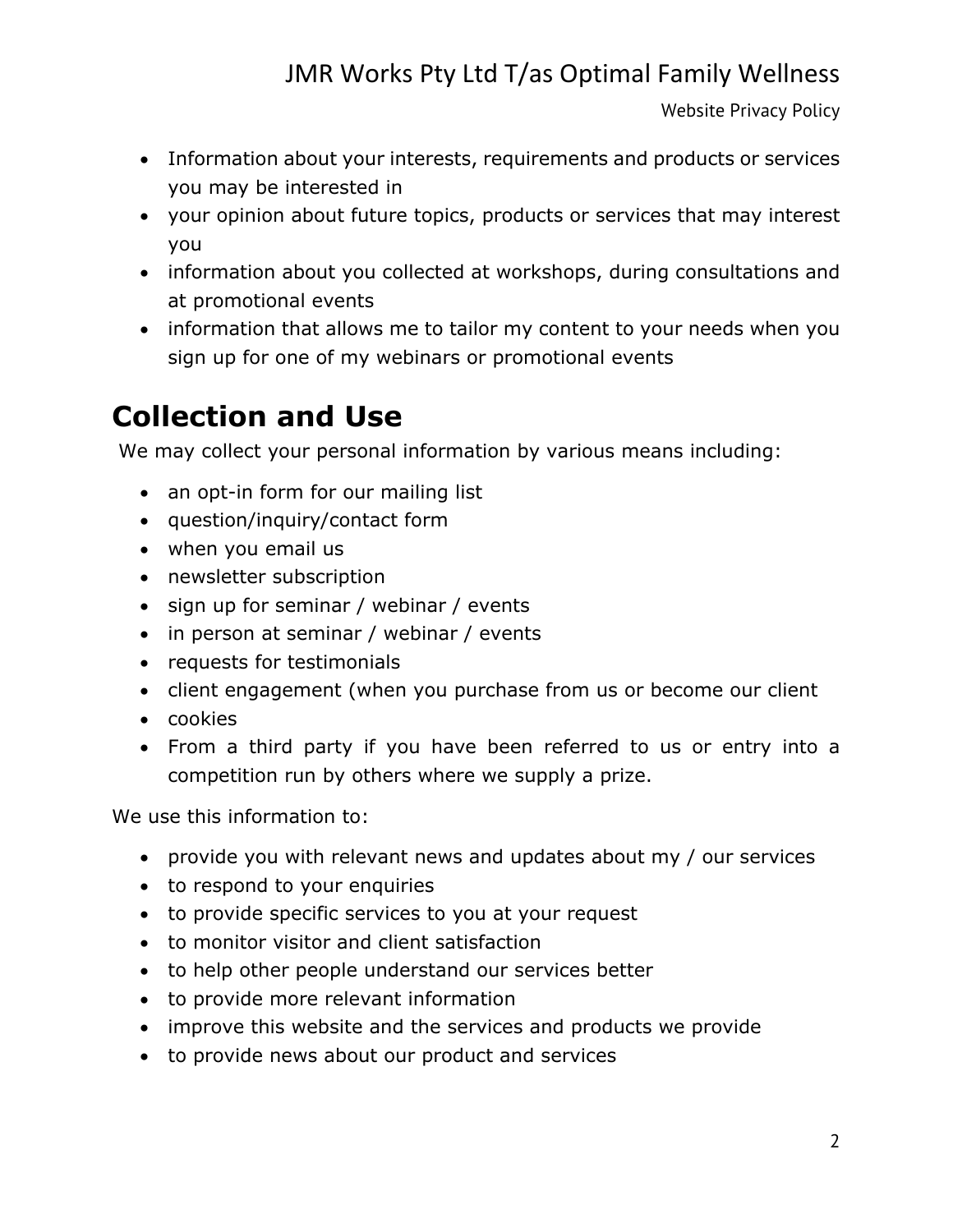Website Privacy Policy

- Information about your interests, requirements and products or services you may be interested in
- your opinion about future topics, products or services that may interest you
- information about you collected at workshops, during consultations and at promotional events
- information that allows me to tailor my content to your needs when you sign up for one of my webinars or promotional events

# **Collection and Use**

We may collect your personal information by various means including:

- an opt-in form for our mailing list
- question/inquiry/contact form
- when you email us
- newsletter subscription
- sign up for seminar / webinar / events
- in person at seminar / webinar / events
- requests for testimonials
- client engagement (when you purchase from us or become our client
- cookies
- From a third party if you have been referred to us or entry into a competition run by others where we supply a prize.

We use this information to:

- provide you with relevant news and updates about my / our services
- to respond to your enquiries
- to provide specific services to you at your request
- to monitor visitor and client satisfaction
- to help other people understand our services better
- to provide more relevant information
- improve this website and the services and products we provide
- to provide news about our product and services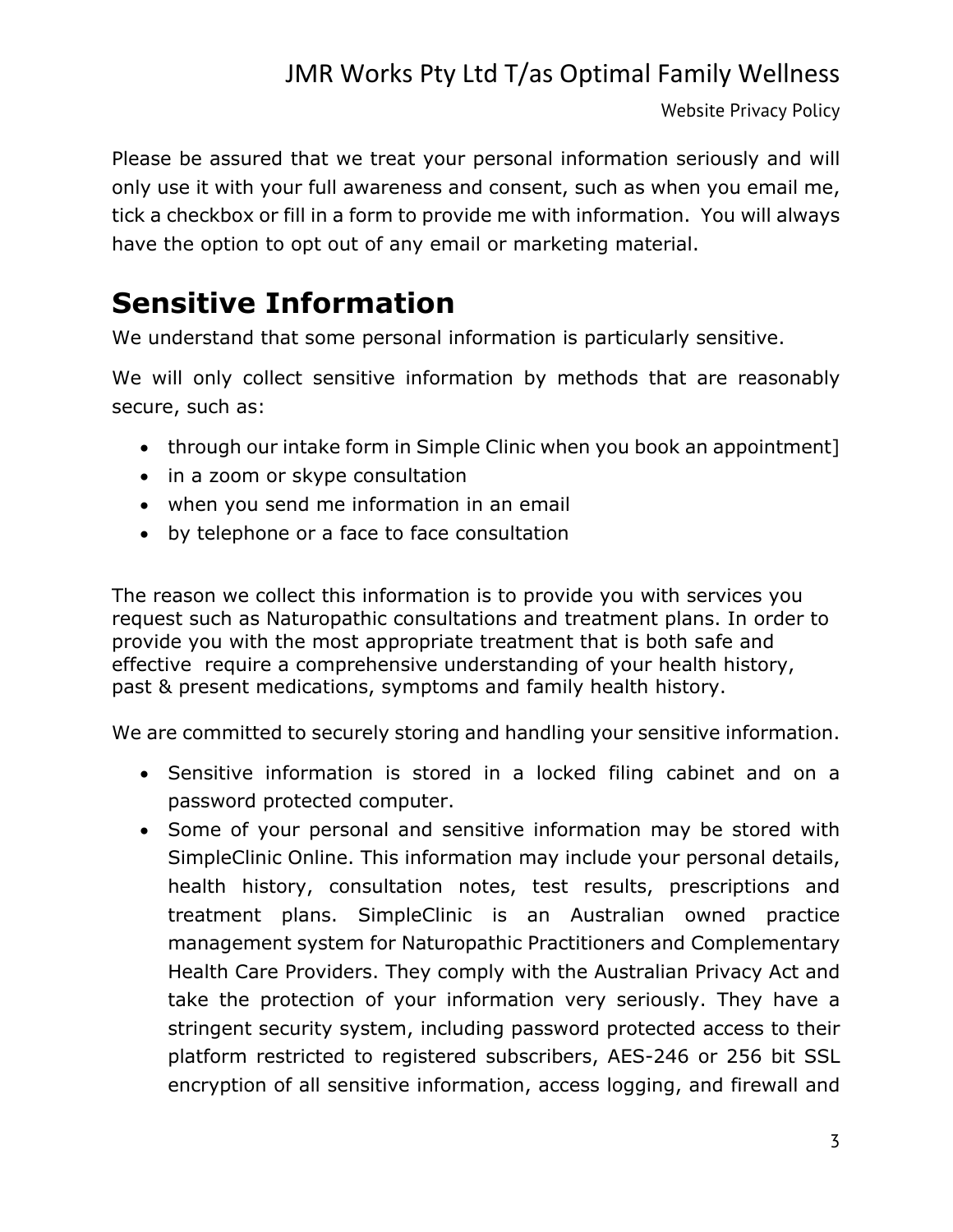Website Privacy Policy

Please be assured that we treat your personal information seriously and will only use it with your full awareness and consent, such as when you email me, tick a checkbox or fill in a form to provide me with information. You will always have the option to opt out of any email or marketing material.

## **Sensitive Information**

We understand that some personal information is particularly sensitive.

We will only collect sensitive information by methods that are reasonably secure, such as:

- through our intake form in Simple Clinic when you book an appointment]
- in a zoom or skype consultation
- when you send me information in an email
- by telephone or a face to face consultation

The reason we collect this information is to provide you with services you request such as Naturopathic consultations and treatment plans. In order to provide you with the most appropriate treatment that is both safe and effective require a comprehensive understanding of your health history, past & present medications, symptoms and family health history.

We are committed to securely storing and handling your sensitive information.

- Sensitive information is stored in a locked filing cabinet and on a password protected computer.
- Some of your personal and sensitive information may be stored with SimpleClinic Online. This information may include your personal details, health history, consultation notes, test results, prescriptions and treatment plans. SimpleClinic is an Australian owned practice management system for Naturopathic Practitioners and Complementary Health Care Providers. They comply with the Australian Privacy Act and take the protection of your information very seriously. They have a stringent security system, including password protected access to their platform restricted to registered subscribers, AES-246 or 256 bit SSL encryption of all sensitive information, access logging, and firewall and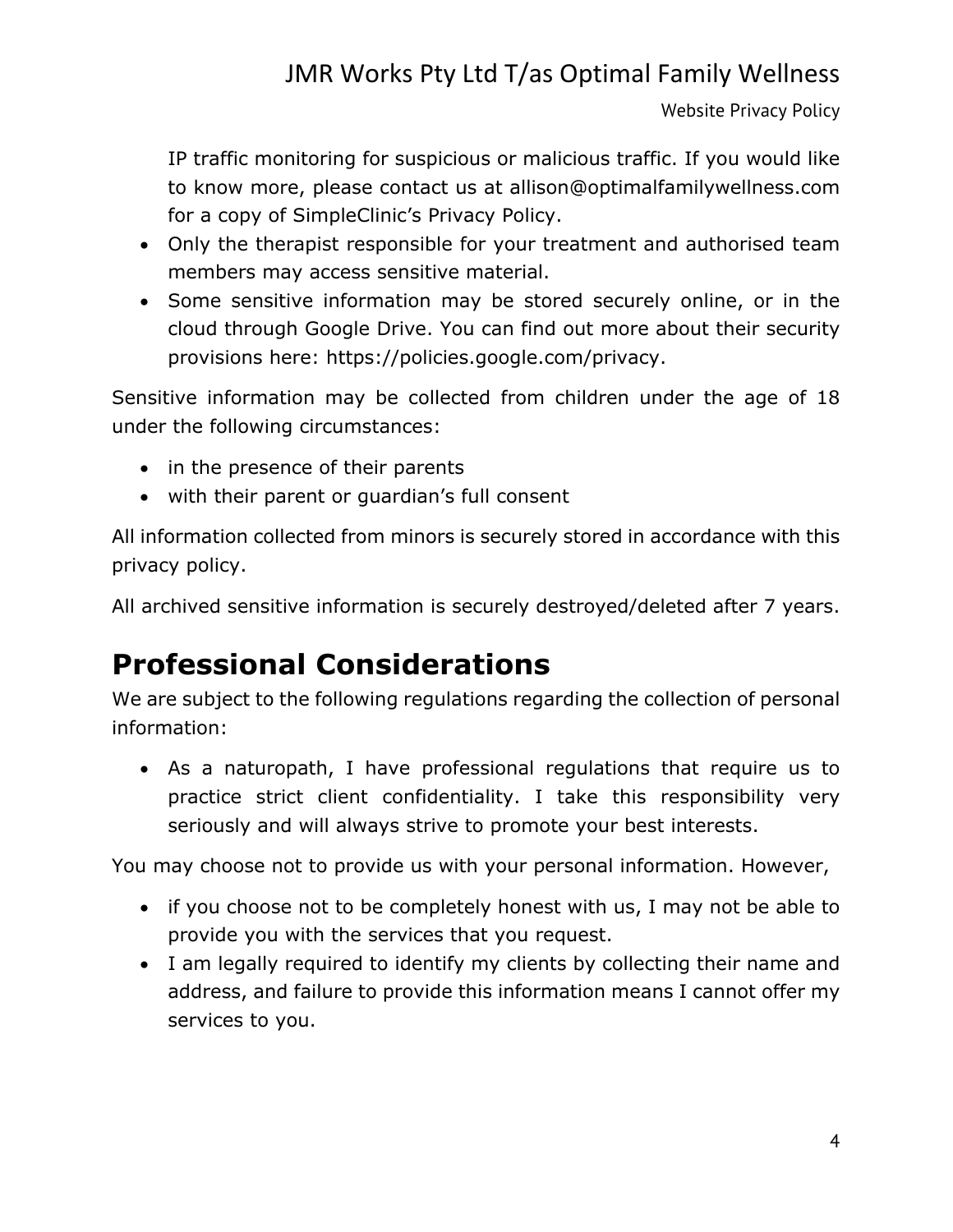Website Privacy Policy

IP traffic monitoring for suspicious or malicious traffic. If you would like to know more, please contact us at allison@optimalfamilywellness.com for a copy of SimpleClinic's Privacy Policy.

- Only the therapist responsible for your treatment and authorised team members may access sensitive material.
- Some sensitive information may be stored securely online, or in the cloud through Google Drive. You can find out more about their security provisions here: https://policies.google.com/privacy.

Sensitive information may be collected from children under the age of 18 under the following circumstances:

- in the presence of their parents
- with their parent or guardian's full consent

All information collected from minors is securely stored in accordance with this privacy policy.

All archived sensitive information is securely destroyed/deleted after 7 years.

## **Professional Considerations**

We are subject to the following regulations regarding the collection of personal information:

• As a naturopath, I have professional regulations that require us to practice strict client confidentiality. I take this responsibility very seriously and will always strive to promote your best interests.

You may choose not to provide us with your personal information. However,

- if you choose not to be completely honest with us, I may not be able to provide you with the services that you request.
- I am legally required to identify my clients by collecting their name and address, and failure to provide this information means I cannot offer my services to you.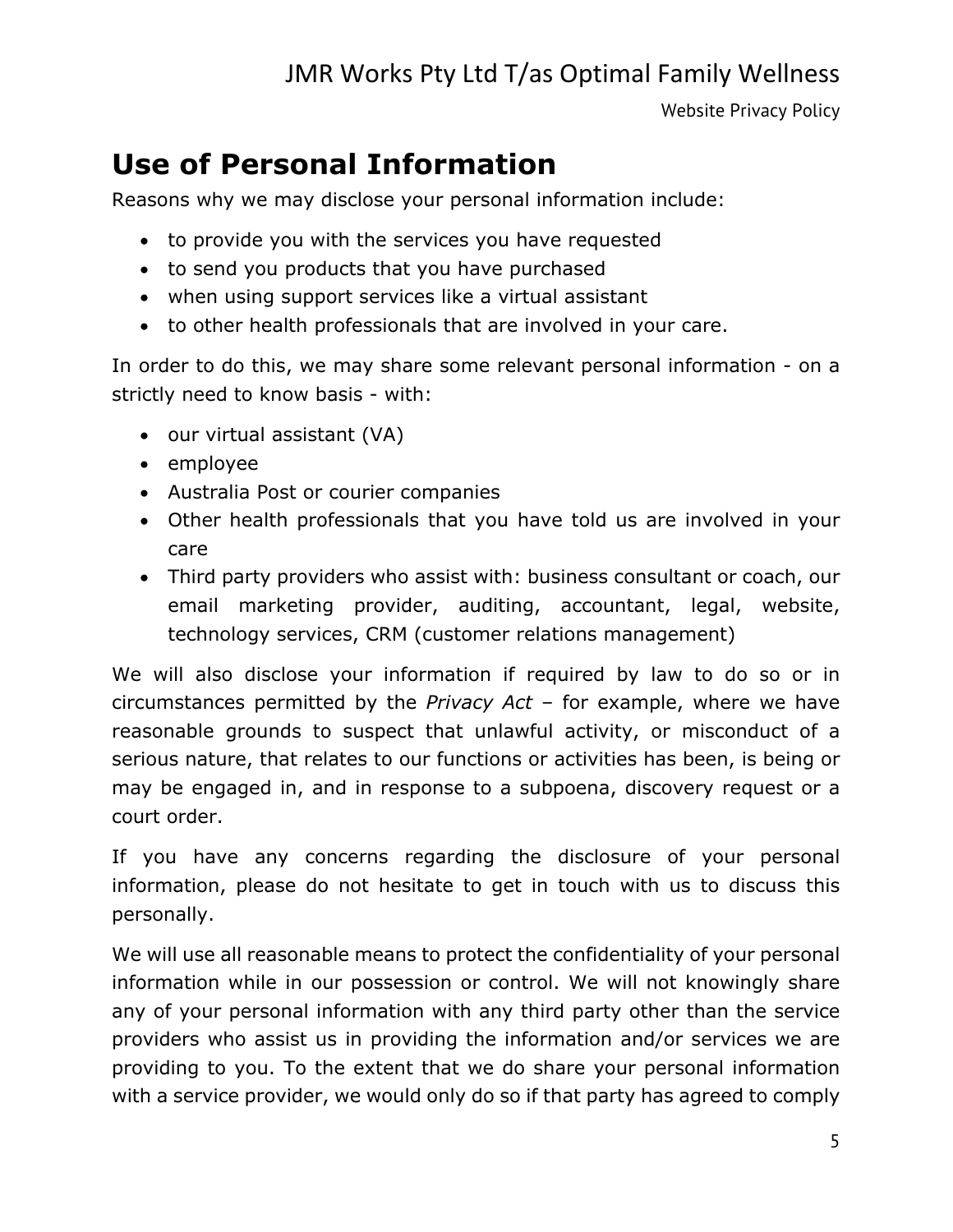Website Privacy Policy

### **Use of Personal Information**

Reasons why we may disclose your personal information include:

- to provide you with the services you have requested
- to send you products that you have purchased
- when using support services like a virtual assistant
- to other health professionals that are involved in your care.

In order to do this, we may share some relevant personal information - on a strictly need to know basis - with:

- our virtual assistant (VA)
- employee
- Australia Post or courier companies
- Other health professionals that you have told us are involved in your care
- Third party providers who assist with: business consultant or coach, our email marketing provider, auditing, accountant, legal, website, technology services, CRM (customer relations management)

We will also disclose your information if required by law to do so or in circumstances permitted by the *Privacy Act* – for example, where we have reasonable grounds to suspect that unlawful activity, or misconduct of a serious nature, that relates to our functions or activities has been, is being or may be engaged in, and in response to a subpoena, discovery request or a court order.

If you have any concerns regarding the disclosure of your personal information, please do not hesitate to get in touch with us to discuss this personally.

We will use all reasonable means to protect the confidentiality of your personal information while in our possession or control. We will not knowingly share any of your personal information with any third party other than the service providers who assist us in providing the information and/or services we are providing to you. To the extent that we do share your personal information with a service provider, we would only do so if that party has agreed to comply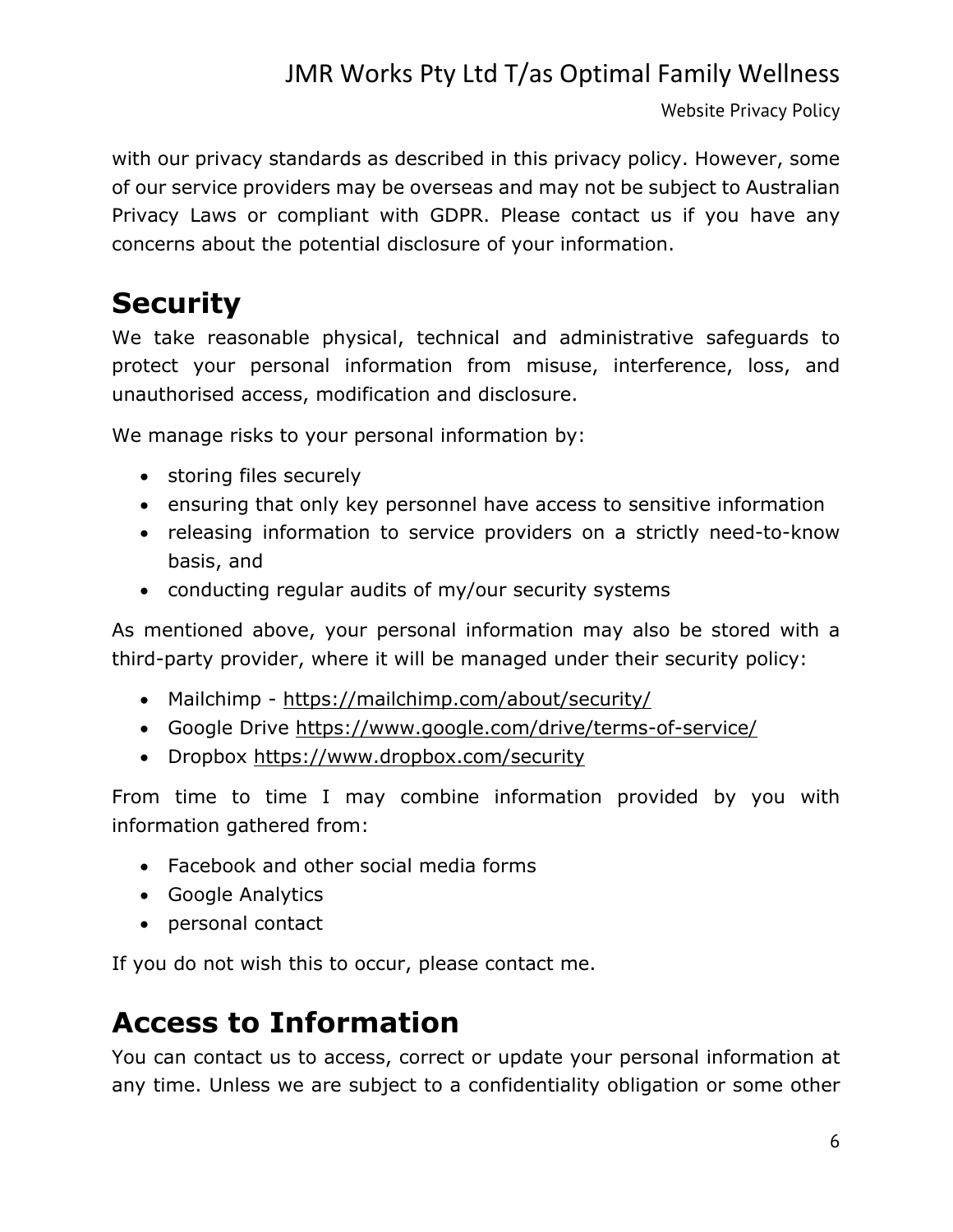Website Privacy Policy

with our privacy standards as described in this privacy policy. However, some of our service providers may be overseas and may not be subject to Australian Privacy Laws or compliant with GDPR. Please contact us if you have any concerns about the potential disclosure of your information.

# **Security**

We take reasonable physical, technical and administrative safeguards to protect your personal information from misuse, interference, loss, and unauthorised access, modification and disclosure.

We manage risks to your personal information by:

- storing files securely
- ensuring that only key personnel have access to sensitive information
- releasing information to service providers on a strictly need-to-know basis, and
- conducting regular audits of my/our security systems

As mentioned above, your personal information may also be stored with a third-party provider, where it will be managed under their security policy:

- Mailchimp https://mailchimp.com/about/security/
- Google Drive https://www.google.com/drive/terms-of-service/
- Dropbox https://www.dropbox.com/security

From time to time I may combine information provided by you with information gathered from:

- Facebook and other social media forms
- Google Analytics
- personal contact

If you do not wish this to occur, please contact me.

## **Access to Information**

You can contact us to access, correct or update your personal information at any time. Unless we are subject to a confidentiality obligation or some other